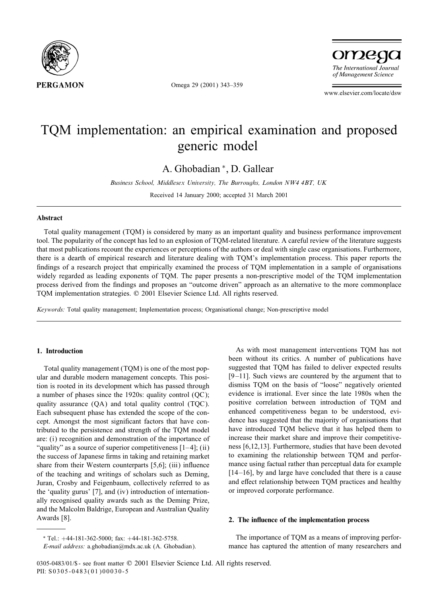

Omega 29 (2001) 343–359

omega The International Journal of Management Science

www.elsevier.com/locate/dsw

## TQM implementation: an empirical examination and proposed generic model

A. Ghobadian <sup>∗</sup>, D. Gallear

*Business School, Middlesex University, The Burroughs, London NW4 4BT, UK*

Received 14 January 2000; accepted 31 March 2001

#### Abstract

Total quality management (TQM) is considered by many as an important quality and business performance improvement tool. The popularity of the concept has led to an explosion of TQM-related literature. A careful review of the literature suggests that most publications recount the experiences or perceptions of the authors or deal with single case organisations. Furthermore, there is a dearth of empirical research and literature dealing with TQM's implementation process. This paper reports the findings of a research project that empirically examined the process of TQM implementation in a sample of organisations widely regarded as leading exponents of TQM. The paper presents a non-prescriptive model of the TQM implementation process derived from the findings and proposes an "outcome driven" approach as an alternative to the more commonplace TQM implementation strategies. © 2001 Elsevier Science Ltd. All rights reserved.

*Keywords:* Total quality management; Implementation process; Organisational change; Non-prescriptive model

## 1. Introduction

Total quality management (TQM) is one of the most popular and durable modern management concepts. This position is rooted in its development which has passed through a number of phases since the 1920s: quality control (QC); quality assurance (QA) and total quality control (TQC). Each subsequent phase has extended the scope of the concept. Amongst the most significant factors that have contributed to the persistence and strength of the TQM model are: (i) recognition and demonstration of the importance of "quality" as a source of superior competitiveness  $[1-4]$ ; (ii) the success of Japanese firms in taking and retaining market share from their Western counterparts [5,6]; (iii) influence of the teaching and writings of scholars such as Deming, Juran, Crosby and Feigenbaum, collectively referred to as the 'quality gurus' [7], and (iv) introduction of internationally recognised quality awards such as the Deming Prize, and the Malcolm Baldrige, European and Australian Quality Awards [8].

As with most management interventions TQM has not been without its critics. A number of publications have suggested that TQM has failed to deliver expected results [9-11]. Such views are countered by the argument that to dismiss TQM on the basis of "loose" negatively oriented evidence is irrational. Ever since the late 1980s when the positive correlation between introduction of TQM and enhanced competitiveness began to be understood, evidence has suggested that the majority of organisations that have introduced TQM believe that it has helped them to increase their market share and improve their competitiveness [6,12,13]. Furthermore, studies that have been devoted to examining the relationship between TQM and performance using factual rather than perceptual data for example [14-16], by and large have concluded that there is a cause and effect relationship between TQM practices and healthy or improved corporate performance.

#### 2. The influence of the implementation process

∗ Tel.: +44-181-362-5000; fax: +44-181-362-5758.

The importance of TQM as a means of improving performance has captured the attention of many researchers and

*E-mail address:* a.ghobadian@mdx.ac.uk (A. Ghobadian).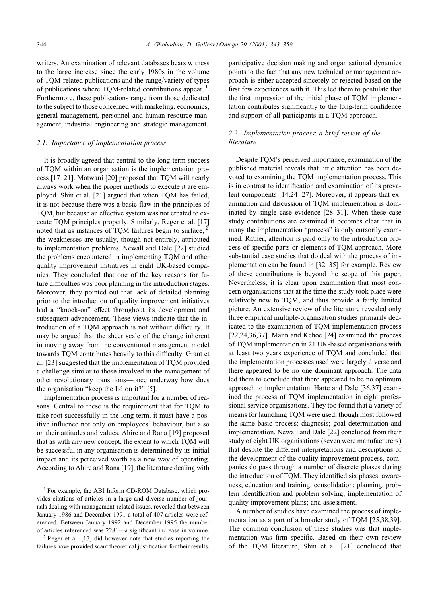writers. An examination of relevant databases bears witness to the large increase since the early 1980s in the volume of TQM-related publications and the range/variety of types of publications where TOM-related contributions appear.<sup>1</sup> Furthermore, these publications range from those dedicated to the subject to those concerned with marketing, economics, general management, personnel and human resource management, industrial engineering and strategic management.

#### *2.1. Importance of implementation process*

It is broadly agreed that central to the long-term success of TQM within an organisation is the implementation process [17–21]. Motwani [20] proposed that TQM will nearly always work when the proper methods to execute it are employed. Shin et al. [21] argued that when TQM has failed, it is not because there was a basic flaw in the principles of TOM, but because an effective system was not created to execute TQM principles properly. Similarly, Reger et al. [17] noted that as instances of TQM failures begin to surface, <sup>2</sup> the weaknesses are usually, though not entirely, attributed to implementation problems. Newall and Dale [22] studied the problems encountered in implementing TQM and other quality improvement initiatives in eight UK-based companies. They concluded that one of the key reasons for future difficulties was poor planning in the introduction stages. Moreover, they pointed out that lack of detailed planning prior to the introduction of quality improvement initiatives had a "knock-on" effect throughout its development and subsequent advancement. These views indicate that the introduction of a TQM approach is not without difficulty. It may be argued that the sheer scale of the change inherent in moving away from the conventional management model towards TQM contributes heavily to this difficulty. Grant et al. [23] suggested that the implementation of TQM provided a challenge similar to those involved in the management of other revolutionary transitions—once underway how does the organisation "keep the lid on it?" [5].

Implementation process is important for a number of reasons. Central to these is the requirement that for TQM to take root successfully in the long term, it must have a positive influence not only on employees' behaviour, but also on their attitudes and values. Ahire and Rana [19] proposed that as with any new concept, the extent to which TQM will be successful in any organisation is determined by its initial impact and its perceived worth as a new way of operating. According to Ahire and Rana [19], the literature dealing with participative decision making and organisational dynamics points to the fact that any new technical or management approach is either accepted sincerely or rejected based on the first few experiences with it. This led them to postulate that the first impression of the initial phase of TQM implementation contributes significantly to the long-term confidence and support of all participants in a TQM approach.

## *2.2. Implementation process*: *a brief review of the literature*

Despite TQM's perceived importance, examination of the published material reveals that little attention has been devoted to examining the TQM implementation process. This is in contrast to identification and examination of its prevalent components [14,24-27]. Moreover, it appears that examination and discussion of TQM implementation is dominated by single case evidence [28–31]. When these case study contributions are examined it becomes clear that in many the implementation "process" is only cursorily examined. Rather, attention is paid only to the introduction process of specific parts or elements of TQM approach. More substantial case studies that do deal with the process of implementation can be found in  $[32-35]$  for example. Review of these contributions is beyond the scope of this paper. Nevertheless, it is clear upon examination that most concern organisations that at the time the study took place were relatively new to TQM, and thus provide a fairly limited picture. An extensive review of the literature revealed only three empirical multiple-organisation studies primarily dedicated to the examination of TQM implementation process [22,24,36,37]. Mann and Kehoe [24] examined the process of TQM implementation in 21 UK-based organisations with at least two years experience of TQM and concluded that the implementation processes used were largely diverse and there appeared to be no one dominant approach. The data led them to conclude that there appeared to be no optimum approach to implementation. Harte and Dale [36,37] examined the process of TQM implementation in eight professional service organisations. They too found that a variety of means for launching TQM were used, though most followed the same basic process: diagnosis; goal determination and implementation. Newall and Dale [22] concluded from their study of eight UK organisations (seven were manufacturers) that despite the different interpretations and descriptions of the development of the quality improvement process, companies do pass through a number of discrete phases during the introduction of TQM. They identified six phases: awareness; education and training; consolidation; planning, problem identification and problem solving; implementation of quality improvement plans; and assessment.

A number of studies have examined the process of implementation as a part of a broader study of TQM [25,38,39]. The common conclusion of these studies was that implementation was firm specific. Based on their own review of the TQM literature, Shinet al. [21] concluded that

<sup>1</sup> For example, the ABI Inform CD-ROM Database, which provides citations of articles in a large and diverse number of journals dealing with management-related issues, revealed that between January 1986 and December 1991 a total of 407 articles were referenced. Between January 1992 and December 1995 the number of articles referenced was 2281—a significant increase in volume.

 $2$  Reger et al. [17] did however note that studies reporting the failures have provided scant theoretical justification for their results.